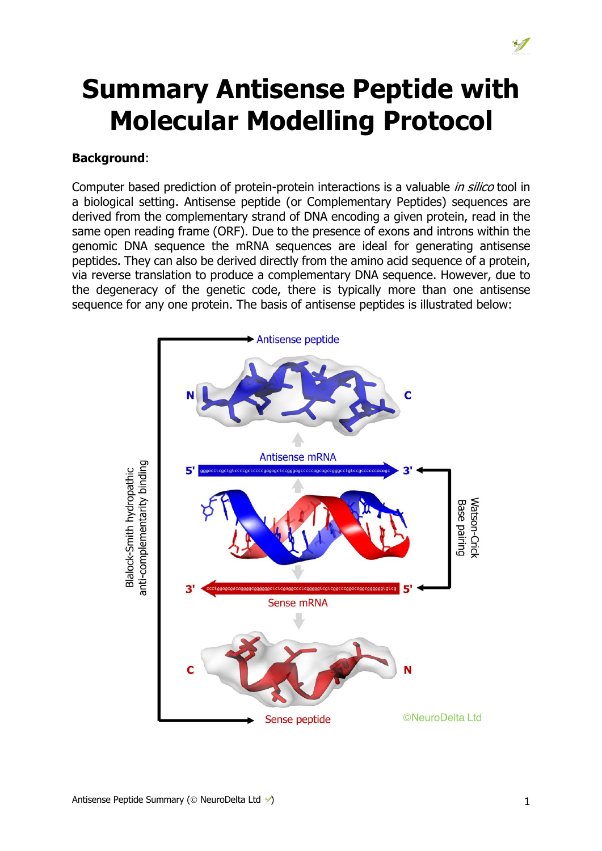# **Summary Antisense Peptide with Molecular Modelling Protocol**

#### **Background**:

Computer based prediction of protein-protein interactions is a valuable *in silico* tool in a biological setting. Antisense peptide (or Complementary Peptides) sequences are derived from the complementary strand of DNA encoding a given protein, read in the same open reading frame (ORF). Due to the presence of exons and introns within the genomic DNA sequence the mRNA sequences are ideal for generating antisense peptides. They can also be derived directly from the amino acid sequence of a protein, via reverse translation to produce a complementary DNA sequence. However, due to the degeneracy of the genetic code, there is typically more than one antisense sequence for any one protein. The basis of antisense peptides is illustrated below:

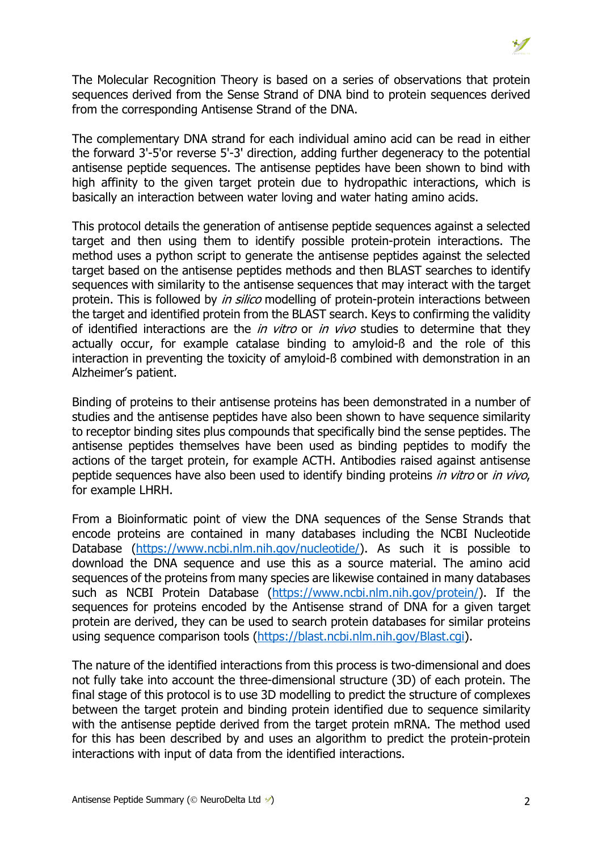The Molecular Recognition Theory is based on a series of observations that protein sequences derived from the Sense Strand of DNA bind to protein sequences derived from the corresponding Antisense Strand of the DNA.

The complementary DNA strand for each individual amino acid can be read in either the forward 3'-5'or reverse 5'-3' direction, adding further degeneracy to the potential antisense peptide sequences. The antisense peptides have been shown to bind with high affinity to the given target protein due to hydropathic interactions, which is basically an interaction between water loving and water hating amino acids.

This protocol details the generation of antisense peptide sequences against a selected target and then using them to identify possible protein-protein interactions. The method uses a python script to generate the antisense peptides against the selected target based on the antisense peptides methods and then BLAST searches to identify sequences with similarity to the antisense sequences that may interact with the target protein. This is followed by *in silico* modelling of protein-protein interactions between the target and identified protein from the BLAST search. Keys to confirming the validity of identified interactions are the *in vitro* or *in vivo* studies to determine that they actually occur, for example catalase binding to amyloid-ß and the role of this interaction in preventing the toxicity of amyloid-ß combined with demonstration in an Alzheimer's patient.

Binding of proteins to their antisense proteins has been demonstrated in a number of studies and the antisense peptides have also been shown to have sequence similarity to receptor binding sites plus compounds that specifically bind the sense peptides. The antisense peptides themselves have been used as binding peptides to modify the actions of the target protein, for example ACTH. Antibodies raised against antisense peptide sequences have also been used to identify binding proteins *in vitro* or *in vivo*, for example LHRH.

From a Bioinformatic point of view the DNA sequences of the Sense Strands that encode proteins are contained in many databases including the NCBI Nucleotide Database (https://www.ncbi.nlm.nih.gov/nucleotide/). As such it is possible to download the DNA sequence and use this as a source material. The amino acid sequences of the proteins from many species are likewise contained in many databases such as NCBI Protein Database (https://www.ncbi.nlm.nih.gov/protein/). If the sequences for proteins encoded by the Antisense strand of DNA for a given target protein are derived, they can be used to search protein databases for similar proteins using sequence comparison tools (https://blast.ncbi.nlm.nih.gov/Blast.cgi).

The nature of the identified interactions from this process is two-dimensional and does not fully take into account the three-dimensional structure (3D) of each protein. The final stage of this protocol is to use 3D modelling to predict the structure of complexes between the target protein and binding protein identified due to sequence similarity with the antisense peptide derived from the target protein mRNA. The method used for this has been described by and uses an algorithm to predict the protein-protein interactions with input of data from the identified interactions.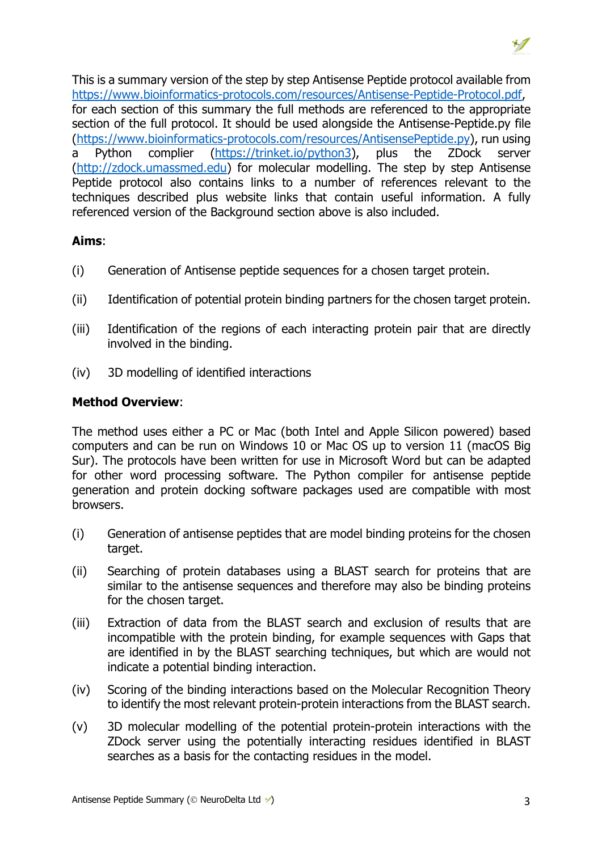This is a summary version of the step by step Antisense Peptide protocol available from https://www.bioinformatics-protocols.com/resources/Antisense-Peptide-Protocol.pdf, for each section of this summary the full methods are referenced to the appropriate section of the full protocol. It should be used alongside the Antisense-Peptide.py file (https://www.bioinformatics-protocols.com/resources/AntisensePeptide.py), run using a Python complier (https://trinket.io/python3), plus the ZDock server (http://zdock.umassmed.edu) for molecular modelling. The step by step Antisense Peptide protocol also contains links to a number of references relevant to the techniques described plus website links that contain useful information. A fully referenced version of the Background section above is also included.

#### **Aims**:

- (i) Generation of Antisense peptide sequences for a chosen target protein.
- (ii) Identification of potential protein binding partners for the chosen target protein.
- (iii) Identification of the regions of each interacting protein pair that are directly involved in the binding.
- (iv) 3D modelling of identified interactions

### **Method Overview**:

The method uses either a PC or Mac (both Intel and Apple Silicon powered) based computers and can be run on Windows 10 or Mac OS up to version 11 (macOS Big Sur). The protocols have been written for use in Microsoft Word but can be adapted for other word processing software. The Python compiler for antisense peptide generation and protein docking software packages used are compatible with most browsers.

- (i) Generation of antisense peptides that are model binding proteins for the chosen target.
- (ii) Searching of protein databases using a BLAST search for proteins that are similar to the antisense sequences and therefore may also be binding proteins for the chosen target.
- (iii) Extraction of data from the BLAST search and exclusion of results that are incompatible with the protein binding, for example sequences with Gaps that are identified in by the BLAST searching techniques, but which are would not indicate a potential binding interaction.
- (iv) Scoring of the binding interactions based on the Molecular Recognition Theory to identify the most relevant protein-protein interactions from the BLAST search.
- (v) 3D molecular modelling of the potential protein-protein interactions with the ZDock server using the potentially interacting residues identified in BLAST searches as a basis for the contacting residues in the model.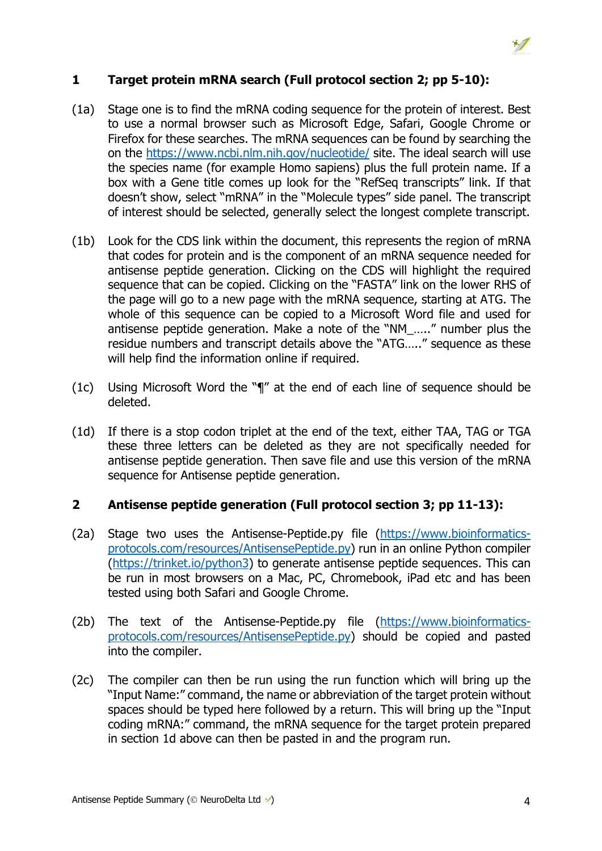### **1 Target protein mRNA search (Full protocol section 2; pp 5-10):**

- (1a) Stage one is to find the mRNA coding sequence for the protein of interest. Best to use a normal browser such as Microsoft Edge, Safari, Google Chrome or Firefox for these searches. The mRNA sequences can be found by searching the on the https://www.ncbi.nlm.nih.gov/nucleotide/ site. The ideal search will use the species name (for example Homo sapiens) plus the full protein name. If a box with a Gene title comes up look for the "RefSeq transcripts" link. If that doesn't show, select "mRNA" in the "Molecule types" side panel. The transcript of interest should be selected, generally select the longest complete transcript.
- (1b) Look for the CDS link within the document, this represents the region of mRNA that codes for protein and is the component of an mRNA sequence needed for antisense peptide generation. Clicking on the CDS will highlight the required sequence that can be copied. Clicking on the "FASTA" link on the lower RHS of the page will go to a new page with the mRNA sequence, starting at ATG. The whole of this sequence can be copied to a Microsoft Word file and used for antisense peptide generation. Make a note of the "NM\_….." number plus the residue numbers and transcript details above the "ATG….." sequence as these will help find the information online if required.
- (1c) Using Microsoft Word the "¶" at the end of each line of sequence should be deleted.
- (1d) If there is a stop codon triplet at the end of the text, either TAA, TAG or TGA these three letters can be deleted as they are not specifically needed for antisense peptide generation. Then save file and use this version of the mRNA sequence for Antisense peptide generation.

#### **2 Antisense peptide generation (Full protocol section 3; pp 11-13):**

- (2a) Stage two uses the Antisense-Peptide.py file (https://www.bioinformaticsprotocols.com/resources/AntisensePeptide.py) run in an online Python compiler (https://trinket.io/python3) to generate antisense peptide sequences. This can be run in most browsers on a Mac, PC, Chromebook, iPad etc and has been tested using both Safari and Google Chrome.
- (2b) The text of the Antisense-Peptide.py file (https://www.bioinformaticsprotocols.com/resources/AntisensePeptide.py) should be copied and pasted into the compiler.
- (2c) The compiler can then be run using the run function which will bring up the "Input Name:" command, the name or abbreviation of the target protein without spaces should be typed here followed by a return. This will bring up the "Input coding mRNA:" command, the mRNA sequence for the target protein prepared in section 1d above can then be pasted in and the program run.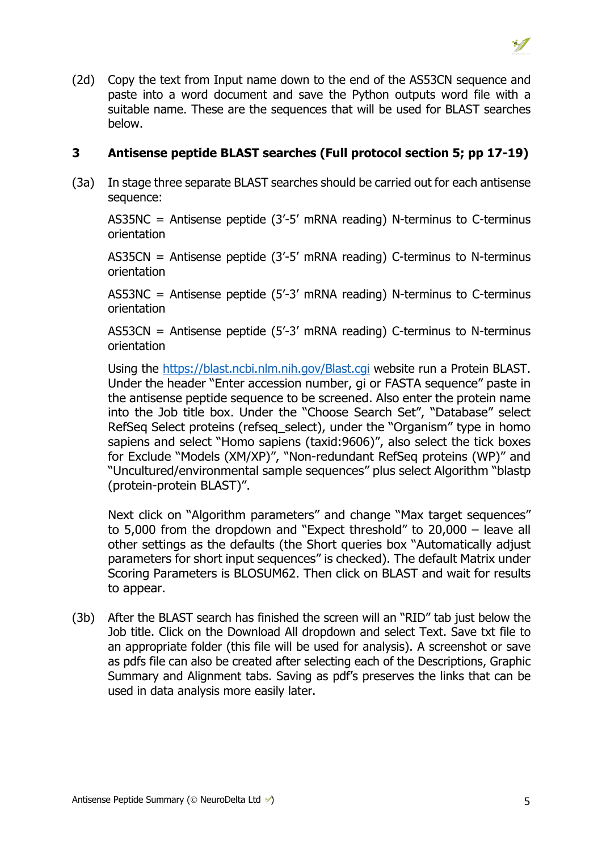(2d) Copy the text from Input name down to the end of the AS53CN sequence and paste into a word document and save the Python outputs word file with a suitable name. These are the sequences that will be used for BLAST searches below.

### **3 Antisense peptide BLAST searches (Full protocol section 5; pp 17-19)**

(3a) In stage three separate BLAST searches should be carried out for each antisense sequence:

AS35NC = Antisense peptide (3'-5' mRNA reading) N-terminus to C-terminus orientation

AS35CN = Antisense peptide  $(3'-5'$  mRNA reading) C-terminus to N-terminus orientation

AS53NC = Antisense peptide (5'-3' mRNA reading) N-terminus to C-terminus orientation

AS53CN = Antisense peptide  $(5'-3'$  mRNA reading) C-terminus to N-terminus orientation

Using the https://blast.ncbi.nlm.nih.gov/Blast.cgi website run a Protein BLAST. Under the header "Enter accession number, gi or FASTA sequence" paste in the antisense peptide sequence to be screened. Also enter the protein name into the Job title box. Under the "Choose Search Set", "Database" select RefSeg Select proteins (refseg select), under the "Organism" type in homo sapiens and select "Homo sapiens (taxid:9606)", also select the tick boxes for Exclude "Models (XM/XP)", "Non-redundant RefSeq proteins (WP)" and "Uncultured/environmental sample sequences" plus select Algorithm "blastp (protein-protein BLAST)".

Next click on "Algorithm parameters" and change "Max target sequences" to 5,000 from the dropdown and "Expect threshold" to 20,000 – leave all other settings as the defaults (the Short queries box "Automatically adjust parameters for short input sequences" is checked). The default Matrix under Scoring Parameters is BLOSUM62. Then click on BLAST and wait for results to appear.

(3b) After the BLAST search has finished the screen will an "RID" tab just below the Job title. Click on the Download All dropdown and select Text. Save txt file to an appropriate folder (this file will be used for analysis). A screenshot or save as pdfs file can also be created after selecting each of the Descriptions, Graphic Summary and Alignment tabs. Saving as pdf's preserves the links that can be used in data analysis more easily later.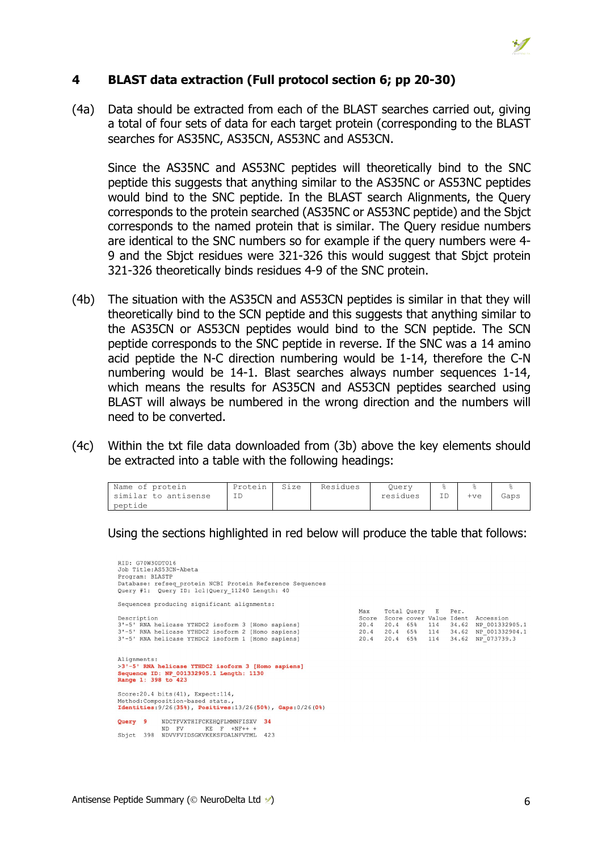

#### **4 BLAST data extraction (Full protocol section 6; pp 20-30)**

(4a) Data should be extracted from each of the BLAST searches carried out, giving a total of four sets of data for each target protein (corresponding to the BLAST searches for AS35NC, AS35CN, AS53NC and AS53CN.

Since the AS35NC and AS53NC peptides will theoretically bind to the SNC peptide this suggests that anything similar to the AS35NC or AS53NC peptides would bind to the SNC peptide. In the BLAST search Alignments, the Query corresponds to the protein searched (AS35NC or AS53NC peptide) and the Sbjct corresponds to the named protein that is similar. The Query residue numbers are identical to the SNC numbers so for example if the query numbers were 4- 9 and the Sbjct residues were 321-326 this would suggest that Sbjct protein 321-326 theoretically binds residues 4-9 of the SNC protein.

- (4b) The situation with the AS35CN and AS53CN peptides is similar in that they will theoretically bind to the SCN peptide and this suggests that anything similar to the AS35CN or AS53CN peptides would bind to the SCN peptide. The SCN peptide corresponds to the SNC peptide in reverse. If the SNC was a 14 amino acid peptide the N-C direction numbering would be 1-14, therefore the C-N numbering would be 14-1. Blast searches always number sequences 1-14, which means the results for AS35CN and AS53CN peptides searched using BLAST will always be numbered in the wrong direction and the numbers will need to be converted.
- (4c) Within the txt file data downloaded from (3b) above the key elements should be extracted into a table with the following headings:

| Name of protein      | Protein | Size | Residues | Ouerv    |    |     |      |
|----------------------|---------|------|----------|----------|----|-----|------|
| similar to antisense |         |      |          | residues | ID | +ve | Gaps |
| peptide              |         |      |          |          |    |     |      |

Using the sections highlighted in red below will produce the table that follows:

| RID: G70W30DT016<br>Job Title:AS53CN-Abeta<br>Program: BLASTP<br>Database: refseq protein NCBI Protein Reference Sequences                                                    |                                      |          |                                         |                 |                                 |                                                                                       |
|-------------------------------------------------------------------------------------------------------------------------------------------------------------------------------|--------------------------------------|----------|-----------------------------------------|-----------------|---------------------------------|---------------------------------------------------------------------------------------|
| Query #1: Query ID: 1cl Query 11240 Length: 40                                                                                                                                |                                      |          |                                         |                 |                                 |                                                                                       |
| Sequences producing significant alignments:                                                                                                                                   |                                      |          |                                         |                 |                                 |                                                                                       |
| Description<br>3'-5' RNA helicase YTHDC2 isoform 3 [Homo sapiens]<br>3'-5' RNA helicase YTHDC2 isoform 2 [Homo sapiens]<br>3'-5' RNA helicase YTHDC2 isoform 1 [Homo sapiens] | Max<br>Score<br>20.4<br>20.4<br>20.4 | 20.4 65% | Total Query<br>20.4 65%<br>20.4 65% 114 | E<br>114<br>114 | Per.<br>34.62<br>34.62<br>34.62 | Score cover Value Ident, Accession<br>NP 001332905.1<br>NP 001332904.1<br>NP 073739.3 |
| Alignments:<br>>3'-5' RNA helicase YTHDC2 isoform 3 [Homo sapiens]<br>Sequence ID: NP 001332905.1 Length: 1130<br>Range 1: 398 to 423                                         |                                      |          |                                         |                 |                                 |                                                                                       |
| Score: 20.4 bits (41), Expect: 114,<br>Method: Composition-based stats.,<br><b>Identities:</b> $9/26(35%)$ , Positives: $13/26(50%)$ , Gaps: $0/26(0%)$                       |                                      |          |                                         |                 |                                 |                                                                                       |
| NDCTFVXTHIFCKEHOFLMMNFISXV 34<br>Query 9<br>KE F<br>ND FV<br>$+NF++$<br>398<br>NDVVFVIDSGKVKEKSFDALNFVTML 423<br>Sbict                                                        |                                      |          |                                         |                 |                                 |                                                                                       |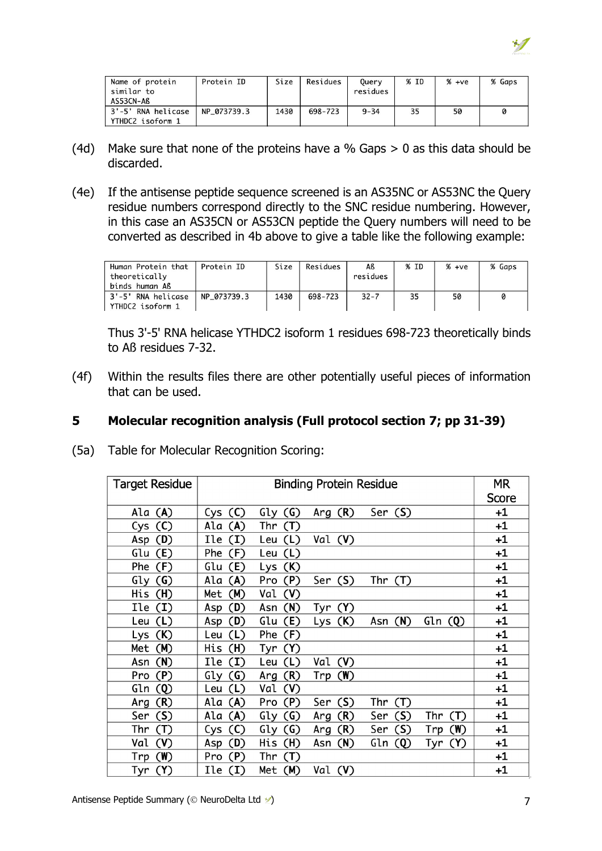

| Name of protein<br>similar to<br>AS53CN-Aß | Protein ID  | Size | Residues | Ouery<br>residues | % ID | $% +ve$ | % Gaps |
|--------------------------------------------|-------------|------|----------|-------------------|------|---------|--------|
| 3'-5' RNA helicase<br>YTHDC2 isoform 1     | NP 073739.3 | 1430 | 698-723  | $9 - 34$          | 35   | 50      | 0      |

- (4d) Make sure that none of the proteins have a % Gaps  $> 0$  as this data should be discarded.
- (4e) If the antisense peptide sequence screened is an AS35NC or AS53NC the Query residue numbers correspond directly to the SNC residue numbering. However, in this case an AS35CN or AS53CN peptide the Query numbers will need to be converted as described in 4b above to give a table like the following example:

| Human Protein that<br>theoretically<br>binds human Aß | Protein ID  | Size | Residues | Aß<br>residues | % ID | $% +ve$ | % Gaps |
|-------------------------------------------------------|-------------|------|----------|----------------|------|---------|--------|
| 3'-5' RNA helicase<br>YTHDC2 isoform 1                | NP 073739.3 | 1430 | 698-723  | $32 - 7$       | 35   | 50      | 0      |

Thus 3'-5' RNA helicase YTHDC2 isoform 1 residues 698-723 theoretically binds to Aß residues 7-32.

(4f) Within the results files there are other potentially useful pieces of information that can be used.

#### **5 Molecular recognition analysis (Full protocol section 7; pp 31-39)**

(5a) Table for Molecular Recognition Scoring:

| <b>Target Residue</b> |            | МR         |            |                |            |         |  |  |  |
|-----------------------|------------|------------|------------|----------------|------------|---------|--|--|--|
|                       |            |            |            |                |            |         |  |  |  |
| Ala (A)               | (C)<br>Cys | (G)<br>Gly | Arg $(R)$  | Ser (S)        |            | $+1$    |  |  |  |
| Cys<br>(C)            | Ala<br>(A) | Thr<br>(T) |            |                |            | $+1$    |  |  |  |
| (D)<br>Asp            | Ile<br>(I) | Leu $(L)$  | Val (V)    |                |            | $+1$    |  |  |  |
| Glu<br>(E)            | Phe<br>(F) | (L)<br>Leu |            |                |            | +1      |  |  |  |
| Phe<br>(F)            | (E)<br>Glu | (K)<br>Lys |            |                |            | $^{+1}$ |  |  |  |
| Gly<br>$\left($ G)    | Ala<br>(A) | (P)<br>Pro | Ser $(S)$  | Thr $(T)$      |            | +1      |  |  |  |
| His<br>(H)            | (M)<br>Met | Val<br>(V) |            |                |            | +1      |  |  |  |
| Ile<br>$\mathbf{(I)}$ | (D)<br>Asp | (N)<br>Asn | Tyr (Y)    |                |            | +1      |  |  |  |
| (L)<br>Leu            | (D)<br>Asp | Glu<br>(E) | (K)<br>Lys | Asn (N)        | Gln(Q)     | +1      |  |  |  |
| (K)<br>Lys            | (L)<br>Leu | Phe<br>(F) |            |                |            | $^{+1}$ |  |  |  |
| (M)<br>Met            | His<br>(H) | Tyr<br>(Y) |            |                |            | +1      |  |  |  |
| (N)<br>Asn            | Ile<br>(1) | (L)<br>Leu | Val<br>(V) |                |            | $^{+1}$ |  |  |  |
| (P)<br>Pro            | (G)<br>Gly | (R)<br>Arg | (W)<br>Trp |                |            | $^{+1}$ |  |  |  |
| Gln<br>$\circledcirc$ | Leu<br>(L) | Val<br>(V) |            |                |            | +1      |  |  |  |
| (R)<br>Arg            | Ala<br>(A) | (P)<br>Pro | (S)<br>Ser | Thr<br>(T)     |            | +1      |  |  |  |
| (S)<br>Ser            | (A)<br>Ala | (G)<br>Gly | (R)<br>Arg | (S)<br>Ser     | Thr<br>(T) | +1      |  |  |  |
| Thr<br>(T)            | (C)<br>Cys | (G)<br>Gly | (R)<br>Arg | (S)<br>Ser     | (W)<br>Trp | $^{+1}$ |  |  |  |
| Val<br>(V)            | (D)<br>Asp | (H)<br>His | (N)<br>Asn | Gln<br>$\circ$ | (Y)<br>Tyr | +1      |  |  |  |
| (W)<br>Trp            | (P)<br>Pro | Thr<br>(T) |            |                |            | +1      |  |  |  |
| (Y)<br>Tyr            | Ile<br>(I) | Met (M)    | Val (V)    |                |            | +1      |  |  |  |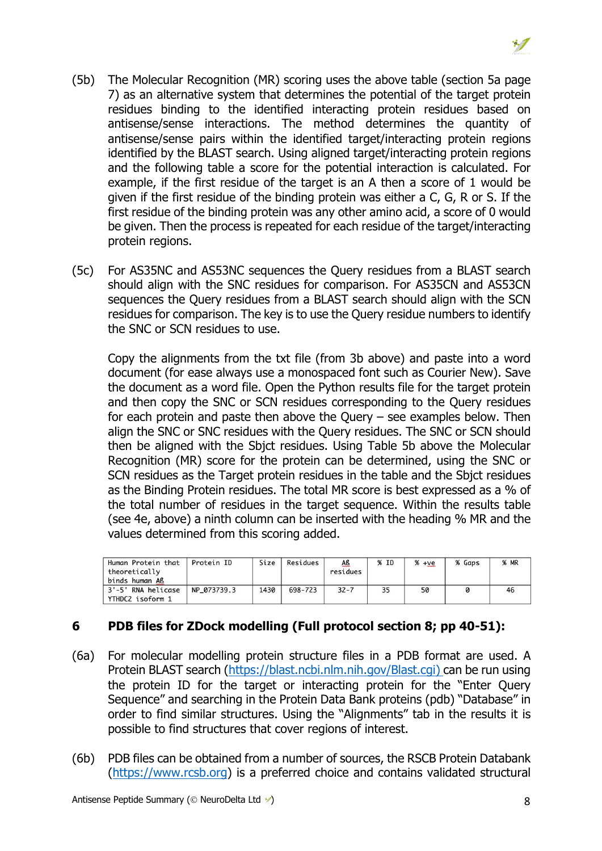- (5b) The Molecular Recognition (MR) scoring uses the above table (section 5a page 7) as an alternative system that determines the potential of the target protein residues binding to the identified interacting protein residues based on antisense/sense interactions. The method determines the quantity of antisense/sense pairs within the identified target/interacting protein regions identified by the BLAST search. Using aligned target/interacting protein regions and the following table a score for the potential interaction is calculated. For example, if the first residue of the target is an A then a score of 1 would be given if the first residue of the binding protein was either a C, G, R or S. If the first residue of the binding protein was any other amino acid, a score of 0 would be given. Then the process is repeated for each residue of the target/interacting protein regions.
- (5c) For AS35NC and AS53NC sequences the Query residues from a BLAST search should align with the SNC residues for comparison. For AS35CN and AS53CN sequences the Query residues from a BLAST search should align with the SCN residues for comparison. The key is to use the Query residue numbers to identify the SNC or SCN residues to use.

Copy the alignments from the txt file (from 3b above) and paste into a word document (for ease always use a monospaced font such as Courier New). Save the document as a word file. Open the Python results file for the target protein and then copy the SNC or SCN residues corresponding to the Query residues for each protein and paste then above the Query – see examples below. Then align the SNC or SNC residues with the Query residues. The SNC or SCN should then be aligned with the Sbjct residues. Using Table 5b above the Molecular Recognition (MR) score for the protein can be determined, using the SNC or SCN residues as the Target protein residues in the table and the Sbjct residues as the Binding Protein residues. The total MR score is best expressed as a % of the total number of residues in the target sequence. Within the results table (see 4e, above) a ninth column can be inserted with the heading % MR and the values determined from this scoring added.

| Human Protein that<br>theoretically<br>binds human Aß | Protein ID  | Size | Residues | <u>Aß</u><br>residues | % ID | $% +ve$ | % Gaps | <b>% MR</b> |
|-------------------------------------------------------|-------------|------|----------|-----------------------|------|---------|--------|-------------|
| 3'-5' RNA helicase<br>YTHDC2 isoform 1                | NP 073739.3 | 1430 | 698-723  | $32 - 7$              | 35   | 50      |        | 46          |

# **6 PDB files for ZDock modelling (Full protocol section 8; pp 40-51):**

- (6a) For molecular modelling protein structure files in a PDB format are used. A Protein BLAST search (https://blast.ncbi.nlm.nih.gov/Blast.cgi) can be run using the protein ID for the target or interacting protein for the "Enter Query Sequence" and searching in the Protein Data Bank proteins (pdb) "Database" in order to find similar structures. Using the "Alignments" tab in the results it is possible to find structures that cover regions of interest.
- (6b) PDB files can be obtained from a number of sources, the RSCB Protein Databank (https://www.rcsb.org) is a preferred choice and contains validated structural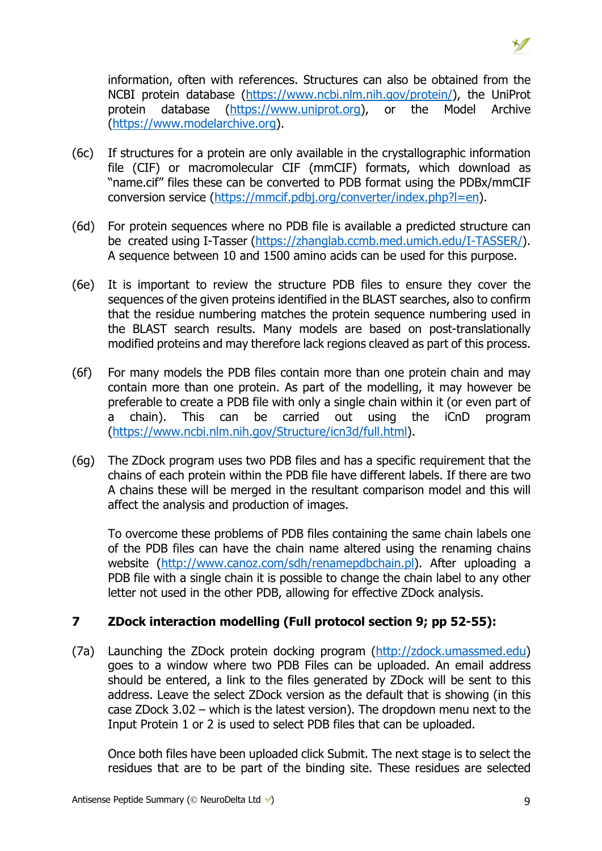information, often with references. Structures can also be obtained from the NCBI protein database (https://www.ncbi.nlm.nih.gov/protein/), the UniProt protein database (https://www.uniprot.org), or the Model Archive (https://www.modelarchive.org).

- (6c) If structures for a protein are only available in the crystallographic information file (CIF) or macromolecular CIF (mmCIF) formats, which download as "name.cif" files these can be converted to PDB format using the PDBx/mmCIF conversion service (https://mmcif.pdbj.org/converter/index.php?l=en).
- (6d) For protein sequences where no PDB file is available a predicted structure can be created using I-Tasser (https://zhanglab.ccmb.med.umich.edu/I-TASSER/). A sequence between 10 and 1500 amino acids can be used for this purpose.
- (6e) It is important to review the structure PDB files to ensure they cover the sequences of the given proteins identified in the BLAST searches, also to confirm that the residue numbering matches the protein sequence numbering used in the BLAST search results. Many models are based on post-translationally modified proteins and may therefore lack regions cleaved as part of this process.
- (6f) For many models the PDB files contain more than one protein chain and may contain more than one protein. As part of the modelling, it may however be preferable to create a PDB file with only a single chain within it (or even part of a chain). This can be carried out using the iCnD program (https://www.ncbi.nlm.nih.gov/Structure/icn3d/full.html).
- (6g) The ZDock program uses two PDB files and has a specific requirement that the chains of each protein within the PDB file have different labels. If there are two A chains these will be merged in the resultant comparison model and this will affect the analysis and production of images.

To overcome these problems of PDB files containing the same chain labels one of the PDB files can have the chain name altered using the renaming chains website (http://www.canoz.com/sdh/renamepdbchain.pl). After uploading a PDB file with a single chain it is possible to change the chain label to any other letter not used in the other PDB, allowing for effective ZDock analysis.

# **7 ZDock interaction modelling (Full protocol section 9; pp 52-55):**

(7a) Launching the ZDock protein docking program (http://zdock.umassmed.edu) goes to a window where two PDB Files can be uploaded. An email address should be entered, a link to the files generated by ZDock will be sent to this address. Leave the select ZDock version as the default that is showing (in this case ZDock 3.02 – which is the latest version). The dropdown menu next to the Input Protein 1 or 2 is used to select PDB files that can be uploaded.

Once both files have been uploaded click Submit. The next stage is to select the residues that are to be part of the binding site. These residues are selected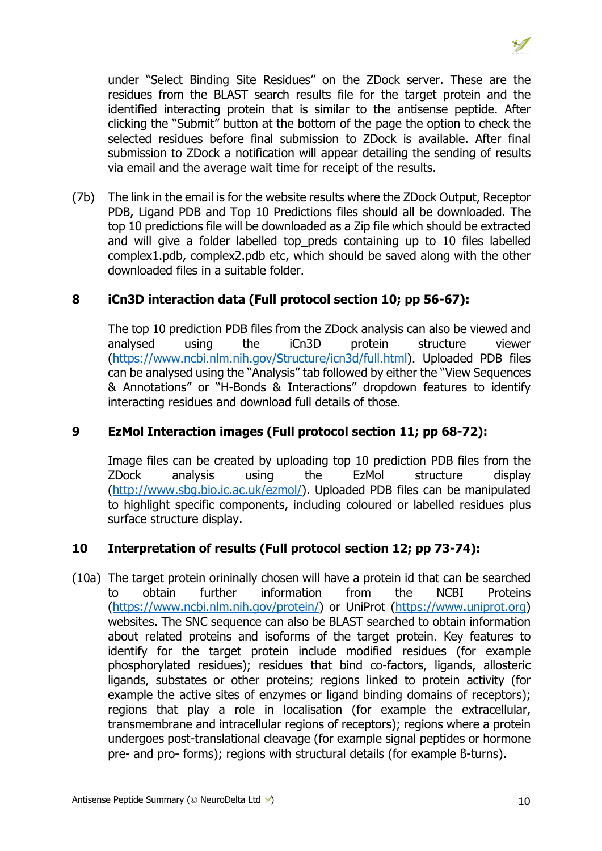under "Select Binding Site Residues" on the ZDock server. These are the residues from the BLAST search results file for the target protein and the identified interacting protein that is similar to the antisense peptide. After clicking the "Submit" button at the bottom of the page the option to check the selected residues before final submission to ZDock is available. After final submission to ZDock a notification will appear detailing the sending of results via email and the average wait time for receipt of the results.

(7b) The link in the email is for the website results where the ZDock Output, Receptor PDB, Ligand PDB and Top 10 Predictions files should all be downloaded. The top 10 predictions file will be downloaded as a Zip file which should be extracted and will give a folder labelled top preds containing up to 10 files labelled complex1.pdb, complex2.pdb etc, which should be saved along with the other downloaded files in a suitable folder.

# **8 iCn3D interaction data (Full protocol section 10; pp 56-67):**

The top 10 prediction PDB files from the ZDock analysis can also be viewed and analysed using the iCn3D protein structure viewer (https://www.ncbi.nlm.nih.gov/Structure/icn3d/full.html). Uploaded PDB files can be analysed using the "Analysis" tab followed by either the "View Sequences & Annotations" or "H-Bonds & Interactions" dropdown features to identify interacting residues and download full details of those.

#### **9 EzMol Interaction images (Full protocol section 11; pp 68-72):**

Image files can be created by uploading top 10 prediction PDB files from the ZDock analysis using the EzMol structure display (http://www.sbg.bio.ic.ac.uk/ezmol/). Uploaded PDB files can be manipulated to highlight specific components, including coloured or labelled residues plus surface structure display.

# **10 Interpretation of results (Full protocol section 12; pp 73-74):**

(10a) The target protein orininally chosen will have a protein id that can be searched to obtain further information from the NCBI Proteins (https://www.ncbi.nlm.nih.gov/protein/) or UniProt (https://www.uniprot.org) websites. The SNC sequence can also be BLAST searched to obtain information about related proteins and isoforms of the target protein. Key features to identify for the target protein include modified residues (for example phosphorylated residues); residues that bind co-factors, ligands, allosteric ligands, substates or other proteins; regions linked to protein activity (for example the active sites of enzymes or ligand binding domains of receptors); regions that play a role in localisation (for example the extracellular, transmembrane and intracellular regions of receptors); regions where a protein undergoes post-translational cleavage (for example signal peptides or hormone pre- and pro- forms); regions with structural details (for example ß-turns).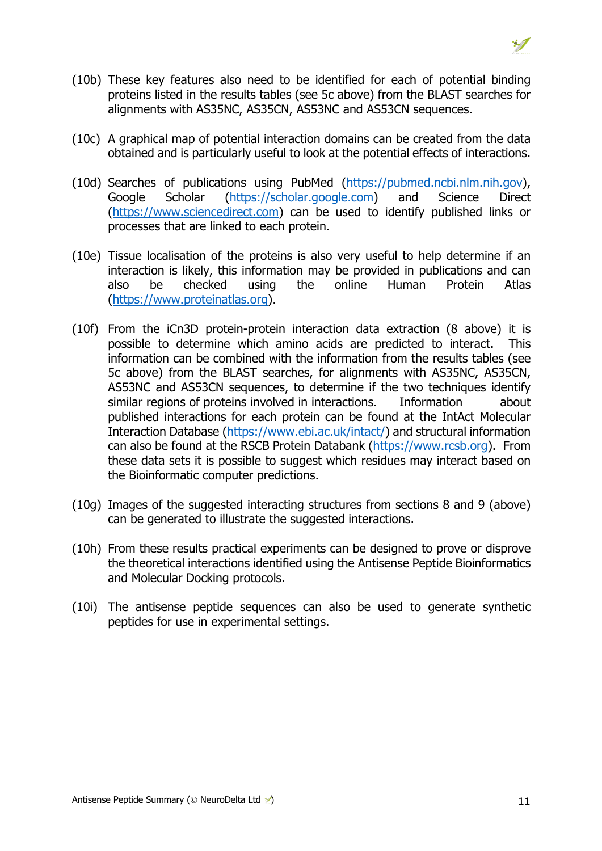

- (10b) These key features also need to be identified for each of potential binding proteins listed in the results tables (see 5c above) from the BLAST searches for alignments with AS35NC, AS35CN, AS53NC and AS53CN sequences.
- (10c) A graphical map of potential interaction domains can be created from the data obtained and is particularly useful to look at the potential effects of interactions.
- (10d) Searches of publications using PubMed (https://pubmed.ncbi.nlm.nih.gov), Google Scholar (https://scholar.google.com) and Science Direct (https://www.sciencedirect.com) can be used to identify published links or processes that are linked to each protein.
- (10e) Tissue localisation of the proteins is also very useful to help determine if an interaction is likely, this information may be provided in publications and can also be checked using the online Human Protein Atlas (https://www.proteinatlas.org).
- (10f) From the iCn3D protein-protein interaction data extraction (8 above) it is possible to determine which amino acids are predicted to interact. This information can be combined with the information from the results tables (see 5c above) from the BLAST searches, for alignments with AS35NC, AS35CN, AS53NC and AS53CN sequences, to determine if the two techniques identify similar regions of proteins involved in interactions. Information about published interactions for each protein can be found at the IntAct Molecular Interaction Database (https://www.ebi.ac.uk/intact/) and structural information can also be found at the RSCB Protein Databank (https://www.rcsb.org). From these data sets it is possible to suggest which residues may interact based on the Bioinformatic computer predictions.
- (10g) Images of the suggested interacting structures from sections 8 and 9 (above) can be generated to illustrate the suggested interactions.
- (10h) From these results practical experiments can be designed to prove or disprove the theoretical interactions identified using the Antisense Peptide Bioinformatics and Molecular Docking protocols.
- (10i) The antisense peptide sequences can also be used to generate synthetic peptides for use in experimental settings.